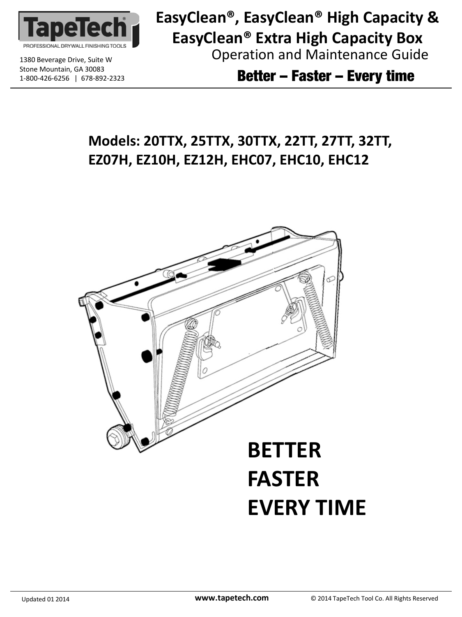

1380 Beverage Drive, Suite W CODECAL CONNECTION And Maintenance Guide **EasyClean®, EasyClean® High Capacity & EasyClean® Extra High Capacity Box**

 $\frac{1}{2}$ 300-426-6256 | 678-892-2323 **Better – Faster – Every time** 

## **Models: 20TTX, 25TTX, 30TTX, 22TT, 27TT, 32TT, EZ07H, EZ10H, EZ12H, EHC07, EHC10, EHC12**



# **FASTER EVERY TIME**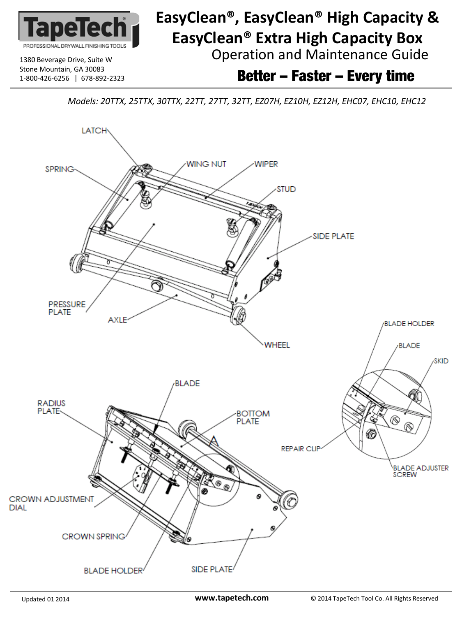

# 1380 Beverage Drive, Suite W CODECAL CONNECTION And Maintenance Guide **EasyClean®, EasyClean® High Capacity & EasyClean® Extra High Capacity Box**

1-800-426-6256 | 678-892-2323 Better – Faster – Every time

*Models: 20TTX, 25TTX, 30TTX, 22TT, 27TT, 32TT, EZ07H, EZ10H, EZ12H, EHC07, EHC10, EHC12*

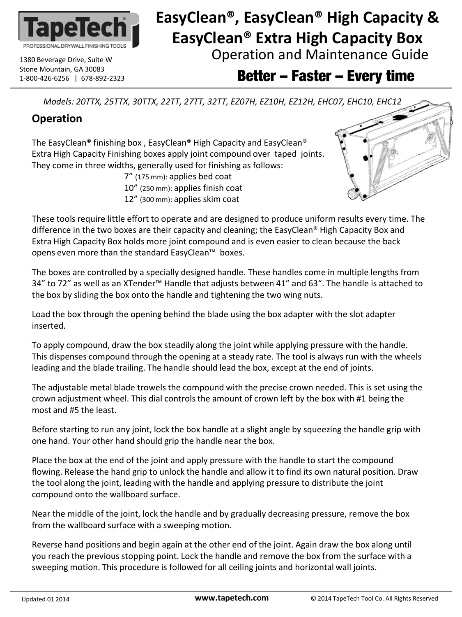

# 1380 Beverage Drive, Suite W **Operation and Maintenance Guide EasyClean®, EasyClean® High Capacity & EasyClean® Extra High Capacity Box**

 $\frac{1}{1-800-426-6256}$  | 678-892-2323 **Better – Faster – Every time** 

*Models: 20TTX, 25TTX, 30TTX, 22TT, 27TT, 32TT, EZ07H, EZ10H, EZ12H, EHC07, EHC10, EHC12*

## **Operation**

The EasyClean® finishing box , EasyClean® High Capacity and EasyClean® Extra High Capacity Finishing boxes apply joint compound over taped joints. They come in three widths, generally used for finishing as follows: 7" (175 mm): applies bed coat 10" (250 mm): applies finish coat 12" (300 mm): applies skim coat



These tools require little effort to operate and are designed to produce uniform results every time. The difference in the two boxes are their capacity and cleaning; the EasyClean® High Capacity Box and Extra High Capacity Box holds more joint compound and is even easier to clean because the back opens even more than the standard EasyClean™ boxes.

The boxes are controlled by a specially designed handle. These handles come in multiple lengths from 34" to 72" as well as an XTender™ Handle that adjusts between 41" and 63". The handle is attached to the box by sliding the box onto the handle and tightening the two wing nuts.

Load the box through the opening behind the blade using the box adapter with the slot adapter inserted.

To apply compound, draw the box steadily along the joint while applying pressure with the handle. This dispenses compound through the opening at a steady rate. The tool is always run with the wheels leading and the blade trailing. The handle should lead the box, except at the end of joints.

The adjustable metal blade trowels the compound with the precise crown needed. This is set using the crown adjustment wheel. This dial controls the amount of crown left by the box with #1 being the most and #5 the least.

Before starting to run any joint, lock the box handle at a slight angle by squeezing the handle grip with one hand. Your other hand should grip the handle near the box.

Place the box at the end of the joint and apply pressure with the handle to start the compound flowing. Release the hand grip to unlock the handle and allow it to find its own natural position. Draw the tool along the joint, leading with the handle and applying pressure to distribute the joint compound onto the wallboard surface.

Near the middle of the joint, lock the handle and by gradually decreasing pressure, remove the box from the wallboard surface with a sweeping motion.

Reverse hand positions and begin again at the other end of the joint. Again draw the box along until you reach the previous stopping point. Lock the handle and remove the box from the surface with a sweeping motion. This procedure is followed for all ceiling joints and horizontal wall joints.